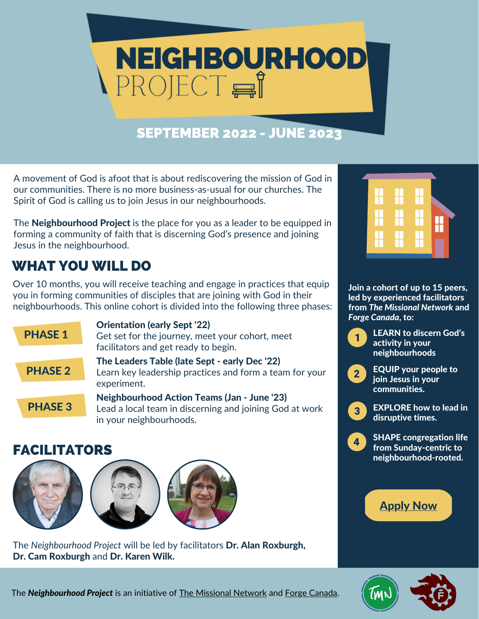

## SEPTEMBER 2022 - JUNE 2023

A movement of God is afoot that is about rediscovering the mission of God in our communities. There is no more business-as-usual for our churches. The Spirit of God is calling us to join Jesus in our neighbourhoods.

The **Neighbourhood Project** is the place for you as a leader to be equipped in forming a community of faith that is discerning God's presence and joining Jesus in the neighbourhood.

# WHAT YOU WILL DO

Over 10 months, you will receive teaching and engage in practices that equip you in forming communities of disciples that are joining with God in their neighbourhoods. This online cohort is divided into the following three phases:



#### FACILITATORS







The *Neighbourhood Project* will be led by facilitators Dr. Alan Roxburgh, Dr. Cam Roxburgh and Dr. Karen Wilk.



Join a cohort of up to 15 peers, led by experienced facilitators from *The Missional Network* and *Forge Canada*, to:



LEARN to discern God's activity in your neighbourhoods



EQUIP your people to join Jesus in your communities.



SHAPE congregation life  $\overline{4}$ from Sunday-centric to neighbourhood-rooted.





The *Neighbourhood Project* is an initiative of The [Missional](http://www.themissionalnetwork.com/) Network and Forge [Canada.](https://forgecanada.ca/)